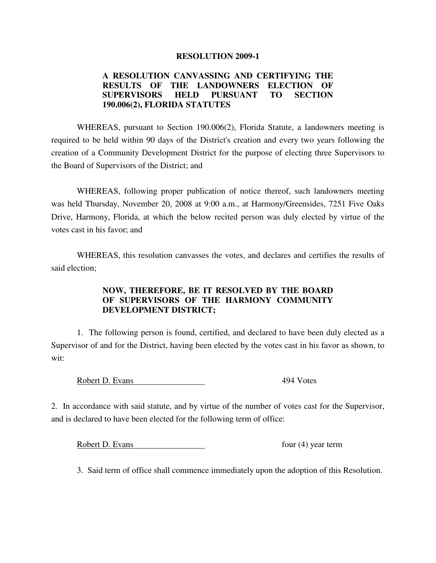## **RESOLUTION 2009-1**

## **A RESOLUTION CANVASSING AND CERTIFYING THE RESULTS OF THE LANDOWNERS ELECTION OF SUPERVISORS HELD PURSUANT TO SECTION 190.006(2), FLORIDA STATUTES**

 WHEREAS, pursuant to Section 190.006(2), Florida Statute, a landowners meeting is required to be held within 90 days of the District's creation and every two years following the creation of a Community Development District for the purpose of electing three Supervisors to the Board of Supervisors of the District; and

 WHEREAS, following proper publication of notice thereof, such landowners meeting was held Thursday, November 20, 2008 at 9:00 a.m., at Harmony/Greensides, 7251 Five Oaks Drive, Harmony, Florida, at which the below recited person was duly elected by virtue of the votes cast in his favor; and

 WHEREAS, this resolution canvasses the votes, and declares and certifies the results of said election;

## **NOW, THEREFORE, BE IT RESOLVED BY THE BOARD OF SUPERVISORS OF THE HARMONY COMMUNITY DEVELOPMENT DISTRICT;**

 1. The following person is found, certified, and declared to have been duly elected as a Supervisor of and for the District, having been elected by the votes cast in his favor as shown, to wit:

Robert D. Evans 494 Votes

2. In accordance with said statute, and by virtue of the number of votes cast for the Supervisor, and is declared to have been elected for the following term of office:

Robert D. Evans four (4) year term

3. Said term of office shall commence immediately upon the adoption of this Resolution.